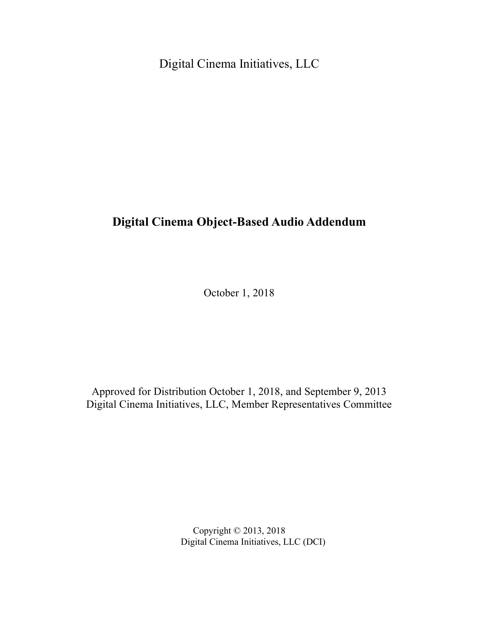Digital Cinema Initiatives, LLC

# **Digital Cinema Object-Based Audio Addendum**

October 1, 2018

Approved for Distribution October 1, 2018, and September 9, 2013 Digital Cinema Initiatives, LLC, Member Representatives Committee

> Copyright © 2013, 2018 Digital Cinema Initiatives, LLC (DCI)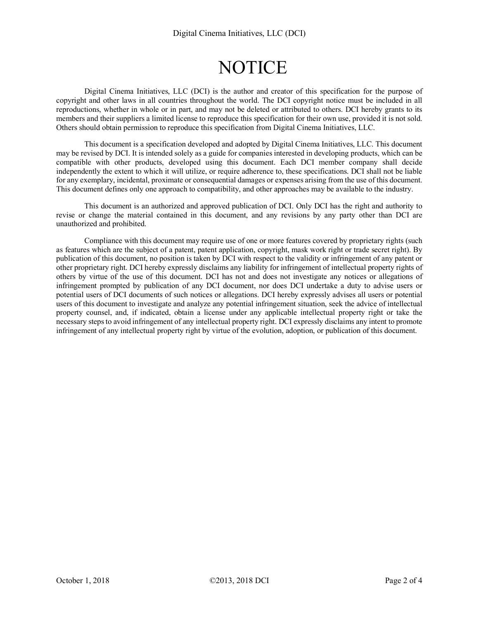# **NOTICE**

Digital Cinema Initiatives, LLC (DCI) is the author and creator of this specification for the purpose of copyright and other laws in all countries throughout the world. The DCI copyright notice must be included in all reproductions, whether in whole or in part, and may not be deleted or attributed to others. DCI hereby grants to its members and their suppliers a limited license to reproduce this specification for their own use, provided it is not sold. Others should obtain permission to reproduce this specification from Digital Cinema Initiatives, LLC.

This document is a specification developed and adopted by Digital Cinema Initiatives, LLC. This document may be revised by DCI. It is intended solely as a guide for companies interested in developing products, which can be compatible with other products, developed using this document. Each DCI member company shall decide independently the extent to which it will utilize, or require adherence to, these specifications. DCI shall not be liable for any exemplary, incidental, proximate or consequential damages or expenses arising from the use of this document. This document defines only one approach to compatibility, and other approaches may be available to the industry.

This document is an authorized and approved publication of DCI. Only DCI has the right and authority to revise or change the material contained in this document, and any revisions by any party other than DCI are unauthorized and prohibited.

Compliance with this document may require use of one or more features covered by proprietary rights (such as features which are the subject of a patent, patent application, copyright, mask work right or trade secret right). By publication of this document, no position is taken by DCI with respect to the validity or infringement of any patent or other proprietary right. DCI hereby expressly disclaims any liability for infringement of intellectual property rights of others by virtue of the use of this document. DCI has not and does not investigate any notices or allegations of infringement prompted by publication of any DCI document, nor does DCI undertake a duty to advise users or potential users of DCI documents of such notices or allegations. DCI hereby expressly advises all users or potential users of this document to investigate and analyze any potential infringement situation, seek the advice of intellectual property counsel, and, if indicated, obtain a license under any applicable intellectual property right or take the necessary steps to avoid infringement of any intellectual property right. DCI expressly disclaims any intent to promote infringement of any intellectual property right by virtue of the evolution, adoption, or publication of this document.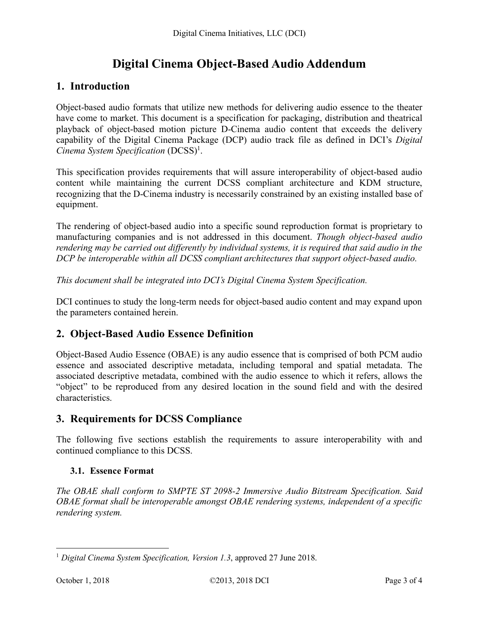# **Digital Cinema Object-Based Audio Addendum**

## **1. Introduction**

Object-based audio formats that utilize new methods for delivering audio essence to the theater have come to market. This document is a specification for packaging, distribution and theatrical playback of object-based motion picture D-Cinema audio content that exceeds the delivery capability of the Digital Cinema Package (DCP) audio track file as defined in DCI's *Digital Cinema System Specification* (DCSS)1.

This specification provides requirements that will assure interoperability of object-based audio content while maintaining the current DCSS compliant architecture and KDM structure, recognizing that the D-Cinema industry is necessarily constrained by an existing installed base of equipment.

The rendering of object-based audio into a specific sound reproduction format is proprietary to manufacturing companies and is not addressed in this document. *Though object-based audio rendering may be carried out differently by individual systems, it is required that said audio in the DCP be interoperable within all DCSS compliant architectures that support object-based audio.*

*This document shall be integrated into DCI's Digital Cinema System Specification.*

DCI continues to study the long-term needs for object-based audio content and may expand upon the parameters contained herein.

### **2. Object-Based Audio Essence Definition**

Object-Based Audio Essence (OBAE) is any audio essence that is comprised of both PCM audio essence and associated descriptive metadata, including temporal and spatial metadata. The associated descriptive metadata, combined with the audio essence to which it refers, allows the "object" to be reproduced from any desired location in the sound field and with the desired characteristics.

## **3. Requirements for DCSS Compliance**

The following five sections establish the requirements to assure interoperability with and continued compliance to this DCSS.

#### **3.1. Essence Format**

*The OBAE shall conform to SMPTE ST 2098-2 Immersive Audio Bitstream Specification. Said OBAE format shall be interoperable amongst OBAE rendering systems, independent of a specific rendering system.*

 <sup>1</sup> *Digital Cinema System Specification, Version 1.3*, approved 27 June 2018.